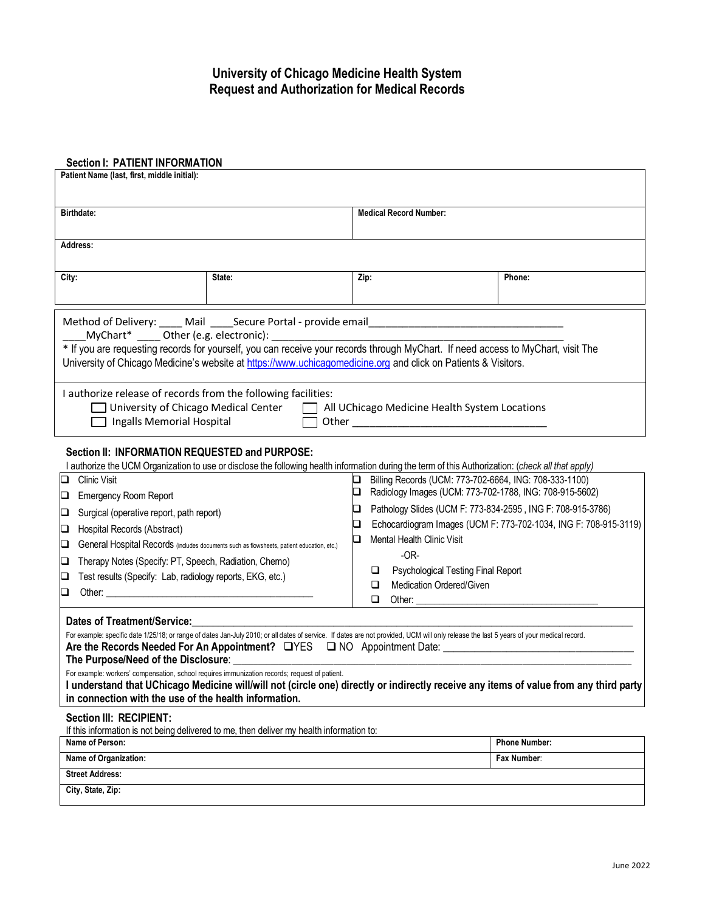## **University of Chicago Medicine Health System Request and Authorization for Medical Records**

### **Section I: PATIENT INFORMATION**

| Patient Name (last, first, middle initial):                                                                                                                                                                                                                                                                                                                                                                                                                                                            |        |                                                                       |                      |
|--------------------------------------------------------------------------------------------------------------------------------------------------------------------------------------------------------------------------------------------------------------------------------------------------------------------------------------------------------------------------------------------------------------------------------------------------------------------------------------------------------|--------|-----------------------------------------------------------------------|----------------------|
| Birthdate:                                                                                                                                                                                                                                                                                                                                                                                                                                                                                             |        | <b>Medical Record Number:</b>                                         |                      |
| Address:                                                                                                                                                                                                                                                                                                                                                                                                                                                                                               |        |                                                                       |                      |
| City:                                                                                                                                                                                                                                                                                                                                                                                                                                                                                                  | State: | Zip:                                                                  | Phone:               |
| Method of Delivery: _____ Mail _____Secure Portal - provide email___________________________________<br>* If you are requesting records for yourself, you can receive your records through MyChart. If need access to MyChart, visit The<br>University of Chicago Medicine's website at https://www.uchicagomedicine.org and click on Patients & Visitors.                                                                                                                                             |        |                                                                       |                      |
| I authorize release of records from the following facilities:<br>$\Box$ University of Chicago Medical Center<br>All UChicago Medicine Health System Locations<br>$\mathbf{1}$<br>Ingalls Memorial Hospital                                                                                                                                                                                                                                                                                             |        |                                                                       |                      |
| Section II: INFORMATION REQUESTED and PURPOSE:<br>I authorize the UCM Organization to use or disclose the following health information during the term of this Authorization: (check all that apply)                                                                                                                                                                                                                                                                                                   |        |                                                                       |                      |
| <b>Clinic Visit</b><br>Billing Records (UCM: 773-702-6664, ING: 708-333-1100)<br>◻<br>Q                                                                                                                                                                                                                                                                                                                                                                                                                |        |                                                                       |                      |
| <b>Emergency Room Report</b><br>❏                                                                                                                                                                                                                                                                                                                                                                                                                                                                      |        | Radiology Images (UCM: 773-702-1788, ING: 708-915-5602)<br>□          |                      |
| Surgical (operative report, path report)<br>O                                                                                                                                                                                                                                                                                                                                                                                                                                                          |        | Pathology Slides (UCM F: 773-834-2595, ING F: 708-915-3786)<br>❏      |                      |
| Hospital Records (Abstract)<br>⊔                                                                                                                                                                                                                                                                                                                                                                                                                                                                       |        | Echocardiogram Images (UCM F: 773-702-1034, ING F: 708-915-3119)<br>❏ |                      |
| General Hospital Records (includes documents such as flowsheets, patient education, etc.)<br>u                                                                                                                                                                                                                                                                                                                                                                                                         |        | Mental Health Clinic Visit<br>❏                                       |                      |
| Therapy Notes (Specify: PT, Speech, Radiation, Chemo)<br>❏                                                                                                                                                                                                                                                                                                                                                                                                                                             |        | $-OR-$                                                                |                      |
| Test results (Specify: Lab, radiology reports, EKG, etc.)<br>❏                                                                                                                                                                                                                                                                                                                                                                                                                                         |        | Psychological Testing Final Report<br>⊔                               |                      |
| Other: the contract of the contract of the contract of the contract of the contract of the contract of the contract of the contract of the contract of the contract of the contract of the contract of the contract of the con<br>❏                                                                                                                                                                                                                                                                    |        | Medication Ordered/Given<br>□<br>$\Box$                               |                      |
|                                                                                                                                                                                                                                                                                                                                                                                                                                                                                                        |        |                                                                       |                      |
| <b>Dates of Treatment/Service:</b><br>For example: specific date 1/25/18; or range of dates Jan-July 2010; or all dates of service. If dates are not provided, UCM will only release the last 5 years of your medical record.<br>Are the Records Needed For An Appointment? UYES U NO Appointment Date: 11 Contract Control Cate: 2010 Appointment Date: 2010 Appointment Date: 2010 Appointment Date: 2010 Appointment Date: 2010 Appointment Date: 2010 Appoi<br>The Purpose/Need of the Disclosure: |        |                                                                       |                      |
| For example: workers' compensation, school requires immunization records; request of patient.<br>I understand that UChicago Medicine will/will not (circle one) directly or indirectly receive any items of value from any third party<br>in connection with the use of the health information.                                                                                                                                                                                                        |        |                                                                       |                      |
| <b>Section III: RECIPIENT:</b><br>If this information is not being delivered to me, then deliver my health information to:                                                                                                                                                                                                                                                                                                                                                                             |        |                                                                       |                      |
| Name of Person:                                                                                                                                                                                                                                                                                                                                                                                                                                                                                        |        |                                                                       | <b>Phone Number:</b> |
| Name of Organization:                                                                                                                                                                                                                                                                                                                                                                                                                                                                                  |        |                                                                       | Fax Number:          |
| <b>Street Address:</b>                                                                                                                                                                                                                                                                                                                                                                                                                                                                                 |        |                                                                       |                      |
| City, State, Zip:                                                                                                                                                                                                                                                                                                                                                                                                                                                                                      |        |                                                                       |                      |